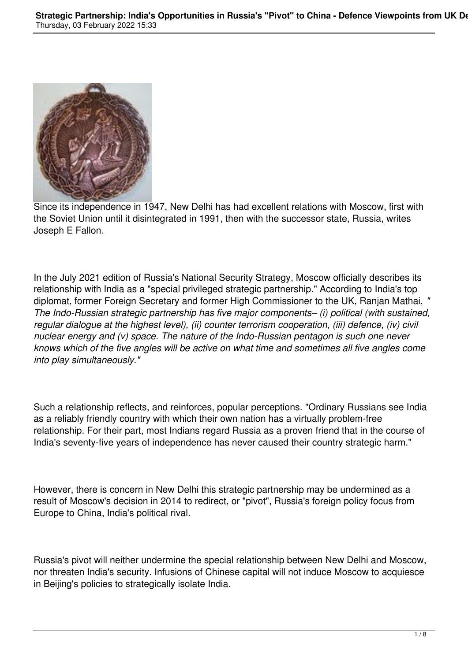

Since its independence in 1947, New Delhi has had excellent relations with Moscow, first with the Soviet Union until it disintegrated in 1991, then with the successor state, Russia, writes Joseph E Fallon.

In the July 2021 edition of Russia's National Security Strategy, Moscow officially describes its relationship with India as a "special privileged strategic partnership." According to India's top diplomat, former Foreign Secretary and former High Commissioner to the UK, Ranjan Mathai, *" The Indo-Russian strategic partnership has five major components– (i) political (with sustained, regular dialogue at the highest level), (ii) counter terrorism cooperation, (iii) defence, (iv) civil nuclear energy and (v) space. The nature of the Indo-Russian pentagon is such one never knows which of the five angles will be active on what time and sometimes all five angles come into play simultaneously."*

Such a relationship reflects, and reinforces, popular perceptions. "Ordinary Russians see India as a reliably friendly country with which their own nation has a virtually problem-free relationship. For their part, most Indians regard Russia as a proven friend that in the course of India's seventy-five years of independence has never caused their country strategic harm."

However, there is concern in New Delhi this strategic partnership may be undermined as a result of Moscow's decision in 2014 to redirect, or "pivot", Russia's foreign policy focus from Europe to China, India's political rival.

Russia's pivot will neither undermine the special relationship between New Delhi and Moscow, nor threaten India's security. Infusions of Chinese capital will not induce Moscow to acquiesce in Beijing's policies to strategically isolate India.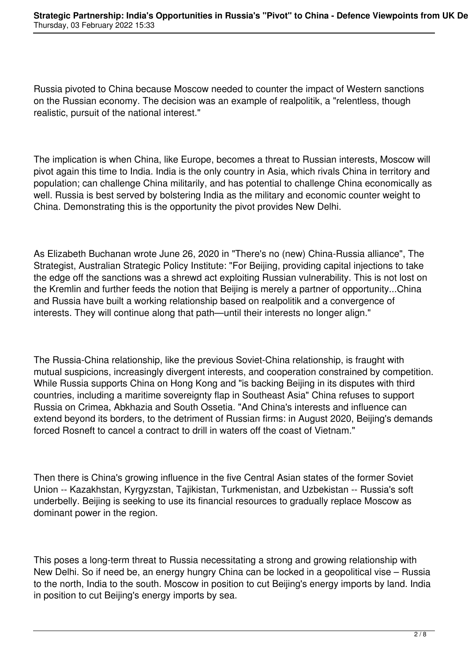Russia pivoted to China because Moscow needed to counter the impact of Western sanctions on the Russian economy. The decision was an example of realpolitik, a "relentless, though realistic, pursuit of the national interest."

The implication is when China, like Europe, becomes a threat to Russian interests, Moscow will pivot again this time to India. India is the only country in Asia, which rivals China in territory and population; can challenge China militarily, and has potential to challenge China economically as well. Russia is best served by bolstering India as the military and economic counter weight to China. Demonstrating this is the opportunity the pivot provides New Delhi.

As Elizabeth Buchanan wrote June 26, 2020 in "There's no (new) China-Russia alliance", The Strategist, Australian Strategic Policy Institute: "For Beijing, providing capital injections to take the edge off the sanctions was a shrewd act exploiting Russian vulnerability. This is not lost on the Kremlin and further feeds the notion that Beijing is merely a partner of opportunity...China and Russia have built a working relationship based on realpolitik and a convergence of interests. They will continue along that path—until their interests no longer align."

The Russia-China relationship, like the previous Soviet-China relationship, is fraught with mutual suspicions, increasingly divergent interests, and cooperation constrained by competition. While Russia supports China on Hong Kong and "is backing Beijing in its disputes with third countries, including a maritime sovereignty flap in Southeast Asia" China refuses to support Russia on Crimea, Abkhazia and South Ossetia. "And China's interests and influence can extend beyond its borders, to the detriment of Russian firms: in August 2020, Beijing's demands forced Rosneft to cancel a contract to drill in waters off the coast of Vietnam."

Then there is China's growing influence in the five Central Asian states of the former Soviet Union -- Kazakhstan, Kyrgyzstan, Tajikistan, Turkmenistan, and Uzbekistan -- Russia's soft underbelly. Beijing is seeking to use its financial resources to gradually replace Moscow as dominant power in the region.

This poses a long-term threat to Russia necessitating a strong and growing relationship with New Delhi. So if need be, an energy hungry China can be locked in a geopolitical vise – Russia to the north, India to the south. Moscow in position to cut Beijing's energy imports by land. India in position to cut Beijing's energy imports by sea.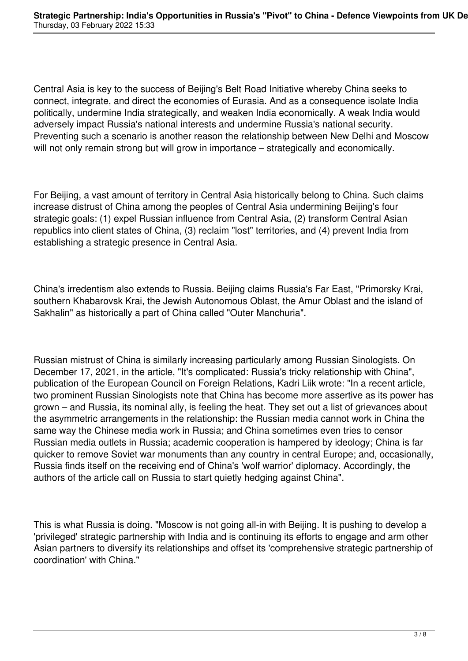Central Asia is key to the success of Beijing's Belt Road Initiative whereby China seeks to connect, integrate, and direct the economies of Eurasia. And as a consequence isolate India politically, undermine India strategically, and weaken India economically. A weak India would adversely impact Russia's national interests and undermine Russia's national security. Preventing such a scenario is another reason the relationship between New Delhi and Moscow will not only remain strong but will grow in importance – strategically and economically.

For Beijing, a vast amount of territory in Central Asia historically belong to China. Such claims increase distrust of China among the peoples of Central Asia undermining Beijing's four strategic goals: (1) expel Russian influence from Central Asia, (2) transform Central Asian republics into client states of China, (3) reclaim "lost" territories, and (4) prevent India from establishing a strategic presence in Central Asia.

China's irredentism also extends to Russia. Beijing claims Russia's Far East, "Primorsky Krai, southern Khabarovsk Krai, the Jewish Autonomous Oblast, the Amur Oblast and the island of Sakhalin" as historically a part of China called "Outer Manchuria".

Russian mistrust of China is similarly increasing particularly among Russian Sinologists. On December 17, 2021, in the article, "It's complicated: Russia's tricky relationship with China", publication of the European Council on Foreign Relations, Kadri Liik wrote: "In a recent article, two prominent Russian Sinologists note that China has become more assertive as its power has grown – and Russia, its nominal ally, is feeling the heat. They set out a list of grievances about the asymmetric arrangements in the relationship: the Russian media cannot work in China the same way the Chinese media work in Russia; and China sometimes even tries to censor Russian media outlets in Russia; academic cooperation is hampered by ideology; China is far quicker to remove Soviet war monuments than any country in central Europe; and, occasionally, Russia finds itself on the receiving end of China's 'wolf warrior' diplomacy. Accordingly, the authors of the article call on Russia to start quietly hedging against China".

This is what Russia is doing. "Moscow is not going all-in with Beijing. It is pushing to develop a 'privileged' strategic partnership with India and is continuing its efforts to engage and arm other Asian partners to diversify its relationships and offset its 'comprehensive strategic partnership of coordination' with China."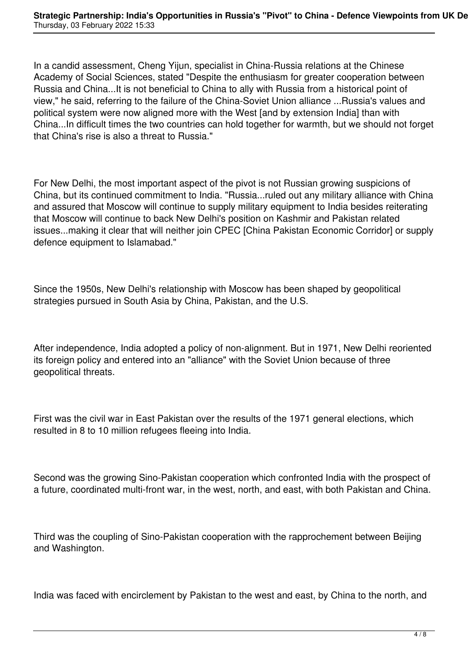In a candid assessment, Cheng Yijun, specialist in China-Russia relations at the Chinese Academy of Social Sciences, stated "Despite the enthusiasm for greater cooperation between Russia and China...It is not beneficial to China to ally with Russia from a historical point of view," he said, referring to the failure of the China-Soviet Union alliance ...Russia's values and political system were now aligned more with the West [and by extension India] than with China...In difficult times the two countries can hold together for warmth, but we should not forget that China's rise is also a threat to Russia."

For New Delhi, the most important aspect of the pivot is not Russian growing suspicions of China, but its continued commitment to India. "Russia...ruled out any military alliance with China and assured that Moscow will continue to supply military equipment to India besides reiterating that Moscow will continue to back New Delhi's position on Kashmir and Pakistan related issues...making it clear that will neither join CPEC [China Pakistan Economic Corridor] or supply defence equipment to Islamabad."

Since the 1950s, New Delhi's relationship with Moscow has been shaped by geopolitical strategies pursued in South Asia by China, Pakistan, and the U.S.

After independence, India adopted a policy of non-alignment. But in 1971, New Delhi reoriented its foreign policy and entered into an "alliance" with the Soviet Union because of three geopolitical threats.

First was the civil war in East Pakistan over the results of the 1971 general elections, which resulted in 8 to 10 million refugees fleeing into India.

Second was the growing Sino-Pakistan cooperation which confronted India with the prospect of a future, coordinated multi-front war, in the west, north, and east, with both Pakistan and China.

Third was the coupling of Sino-Pakistan cooperation with the rapprochement between Beijing and Washington.

India was faced with encirclement by Pakistan to the west and east, by China to the north, and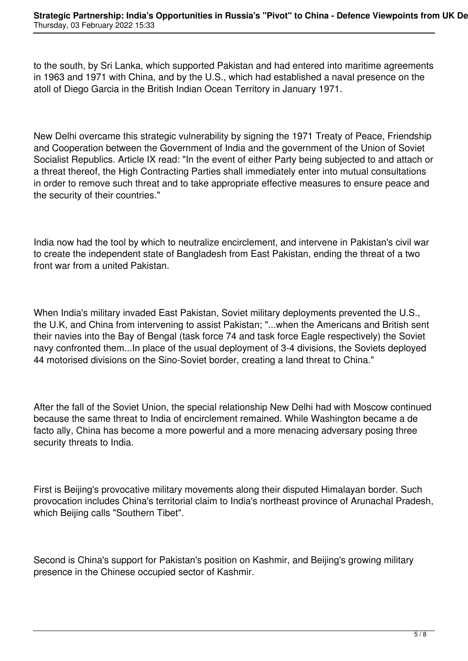to the south, by Sri Lanka, which supported Pakistan and had entered into maritime agreements in 1963 and 1971 with China, and by the U.S., which had established a naval presence on the atoll of Diego Garcia in the British Indian Ocean Territory in January 1971.

New Delhi overcame this strategic vulnerability by signing the 1971 Treaty of Peace, Friendship and Cooperation between the Government of India and the government of the Union of Soviet Socialist Republics. Article IX read: "In the event of either Party being subjected to and attach or a threat thereof, the High Contracting Parties shall immediately enter into mutual consultations in order to remove such threat and to take appropriate effective measures to ensure peace and the security of their countries."

India now had the tool by which to neutralize encirclement, and intervene in Pakistan's civil war to create the independent state of Bangladesh from East Pakistan, ending the threat of a two front war from a united Pakistan.

When India's military invaded East Pakistan, Soviet military deployments prevented the U.S., the U.K, and China from intervening to assist Pakistan; "...when the Americans and British sent their navies into the Bay of Bengal (task force 74 and task force Eagle respectively) the Soviet navy confronted them...In place of the usual deployment of 3-4 divisions, the Soviets deployed 44 motorised divisions on the Sino-Soviet border, creating a land threat to China."

After the fall of the Soviet Union, the special relationship New Delhi had with Moscow continued because the same threat to India of encirclement remained. While Washington became a de facto ally, China has become a more powerful and a more menacing adversary posing three security threats to India.

First is Beijing's provocative military movements along their disputed Himalayan border. Such provocation includes China's territorial claim to India's northeast province of Arunachal Pradesh, which Beijing calls "Southern Tibet".

Second is China's support for Pakistan's position on Kashmir, and Beijing's growing military presence in the Chinese occupied sector of Kashmir.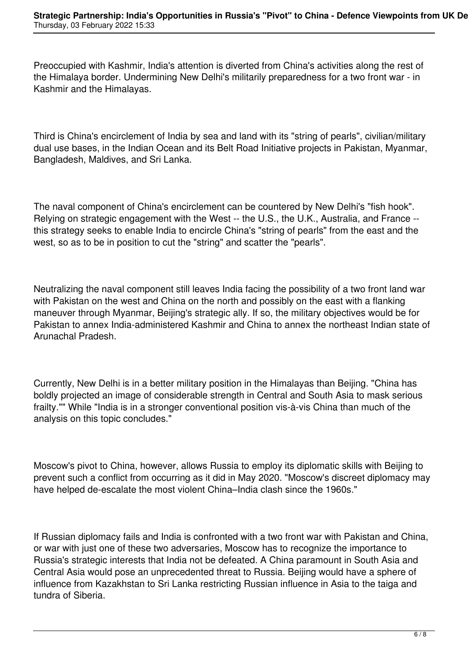Preoccupied with Kashmir, India's attention is diverted from China's activities along the rest of the Himalaya border. Undermining New Delhi's militarily preparedness for a two front war - in Kashmir and the Himalayas.

Third is China's encirclement of India by sea and land with its "string of pearls", civilian/military dual use bases, in the Indian Ocean and its Belt Road Initiative projects in Pakistan, Myanmar, Bangladesh, Maldives, and Sri Lanka.

The naval component of China's encirclement can be countered by New Delhi's "fish hook". Relying on strategic engagement with the West -- the U.S., the U.K., Australia, and France - this strategy seeks to enable India to encircle China's "string of pearls" from the east and the west, so as to be in position to cut the "string" and scatter the "pearls".

Neutralizing the naval component still leaves India facing the possibility of a two front land war with Pakistan on the west and China on the north and possibly on the east with a flanking maneuver through Myanmar, Beijing's strategic ally. If so, the military objectives would be for Pakistan to annex India-administered Kashmir and China to annex the northeast Indian state of Arunachal Pradesh.

Currently, New Delhi is in a better military position in the Himalayas than Beijing. "China has boldly projected an image of considerable strength in Central and South Asia to mask serious frailty."" While "India is in a stronger conventional position vis-à-vis China than much of the analysis on this topic concludes."

Moscow's pivot to China, however, allows Russia to employ its diplomatic skills with Beijing to prevent such a conflict from occurring as it did in May 2020. "Moscow's discreet diplomacy may have helped de-escalate the most violent China–India clash since the 1960s."

If Russian diplomacy fails and India is confronted with a two front war with Pakistan and China, or war with just one of these two adversaries, Moscow has to recognize the importance to Russia's strategic interests that India not be defeated. A China paramount in South Asia and Central Asia would pose an unprecedented threat to Russia. Beijing would have a sphere of influence from Kazakhstan to Sri Lanka restricting Russian influence in Asia to the taiga and tundra of Siberia.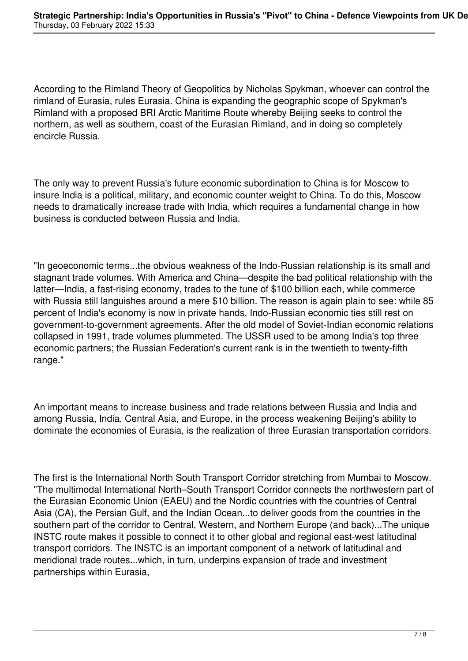According to the Rimland Theory of Geopolitics by Nicholas Spykman, whoever can control the rimland of Eurasia, rules Eurasia. China is expanding the geographic scope of Spykman's Rimland with a proposed BRI Arctic Maritime Route whereby Beijing seeks to control the northern, as well as southern, coast of the Eurasian Rimland, and in doing so completely encircle Russia.

The only way to prevent Russia's future economic subordination to China is for Moscow to insure India is a political, military, and economic counter weight to China. To do this, Moscow needs to dramatically increase trade with India, which requires a fundamental change in how business is conducted between Russia and India.

"In geoeconomic terms...the obvious weakness of the Indo-Russian relationship is its small and stagnant trade volumes. With America and China—despite the bad political relationship with the latter—India, a fast-rising economy, trades to the tune of \$100 billion each, while commerce with Russia still languishes around a mere \$10 billion. The reason is again plain to see: while 85 percent of India's economy is now in private hands, Indo-Russian economic ties still rest on government-to-government agreements. After the old model of Soviet-Indian economic relations collapsed in 1991, trade volumes plummeted. The USSR used to be among India's top three economic partners; the Russian Federation's current rank is in the twentieth to twenty-fifth range."

An important means to increase business and trade relations between Russia and India and among Russia, India, Central Asia, and Europe, in the process weakening Beijing's ability to dominate the economies of Eurasia, is the realization of three Eurasian transportation corridors.

The first is the International North South Transport Corridor stretching from Mumbai to Moscow. "The multimodal International North–South Transport Corridor connects the northwestern part of the Eurasian Economic Union (EAEU) and the Nordic countries with the countries of Central Asia (CA), the Persian Gulf, and the Indian Ocean...to deliver goods from the countries in the southern part of the corridor to Central, Western, and Northern Europe (and back)...The unique INSTC route makes it possible to connect it to other global and regional east-west latitudinal transport corridors. The INSTC is an important component of a network of latitudinal and meridional trade routes...which, in turn, underpins expansion of trade and investment partnerships within Eurasia,